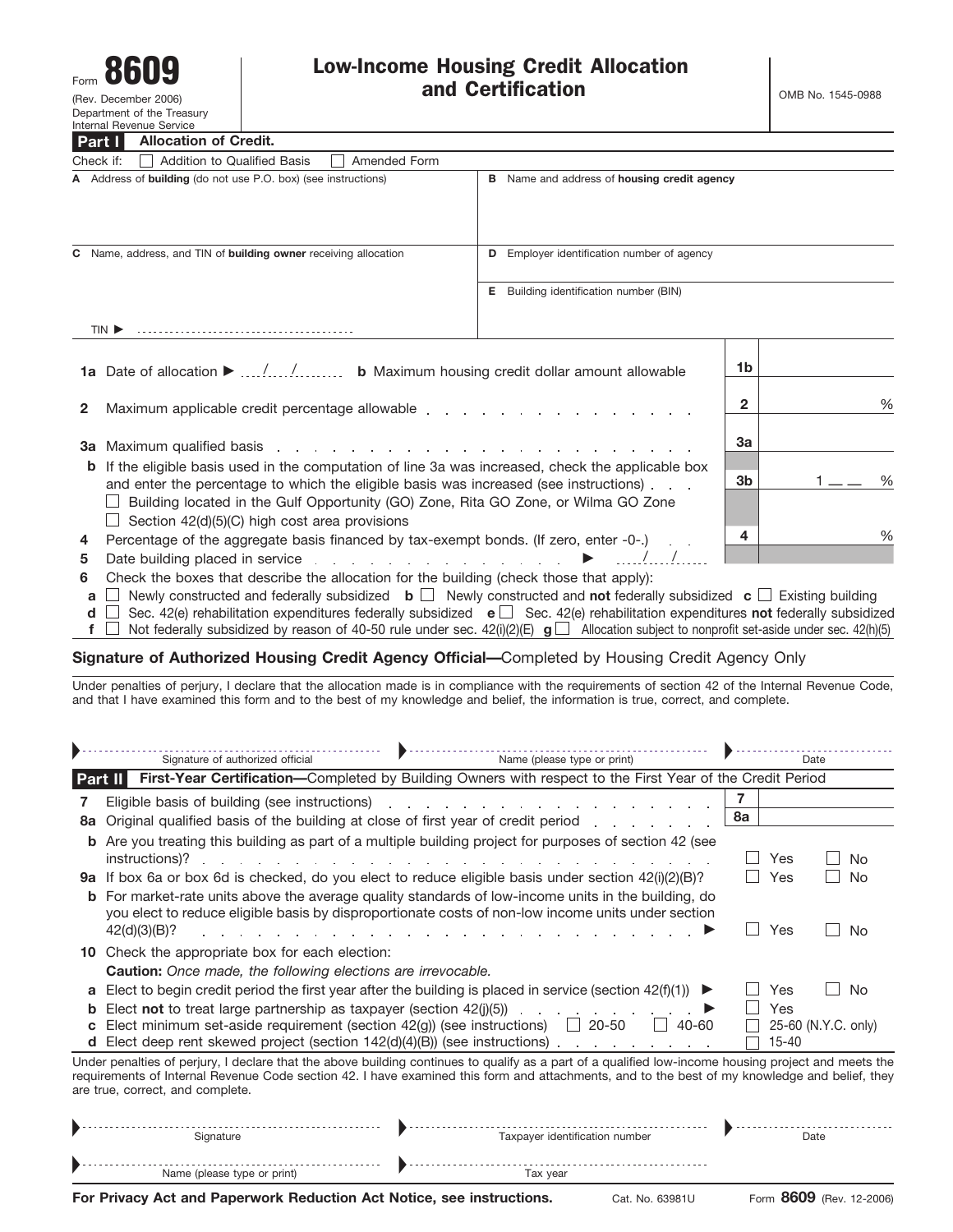

(Rev. December 2006) Department of the Treasury Internal Revenue Service

| Part I<br><b>Allocation of Credit.</b>                                                                                                                                                              |                                                    |      |      |  |  |
|-----------------------------------------------------------------------------------------------------------------------------------------------------------------------------------------------------|----------------------------------------------------|------|------|--|--|
| Amended Form<br>Check if:<br><b>Addition to Qualified Basis</b>                                                                                                                                     |                                                    |      |      |  |  |
| A Address of building (do not use P.O. box) (see instructions)                                                                                                                                      | <b>B</b> Name and address of housing credit agency |      |      |  |  |
| C Name, address, and TIN of building owner receiving allocation                                                                                                                                     | Employer identification number of agency<br>D      |      |      |  |  |
|                                                                                                                                                                                                     | Building identification number (BIN)<br>Е          |      |      |  |  |
|                                                                                                                                                                                                     |                                                    |      |      |  |  |
|                                                                                                                                                                                                     |                                                    | 1b   |      |  |  |
| $\mathbf{2}$                                                                                                                                                                                        | 2                                                  | $\%$ |      |  |  |
|                                                                                                                                                                                                     | 3a                                                 |      |      |  |  |
| <b>b</b> If the eligible basis used in the computation of line 3a was increased, check the applicable box<br>and enter the percentage to which the eligible basis was increased (see instructions). |                                                    |      | $\%$ |  |  |
| Building located in the Gulf Opportunity (GO) Zone, Rita GO Zone, or Wilma GO Zone<br>$\Box$ Section 42(d)(5)(C) high cost area provisions                                                          |                                                    |      |      |  |  |
| Percentage of the aggregate basis financed by tax-exempt bonds. (If zero, enter -0-.)                                                                                                               | 4                                                  | %    |      |  |  |
|                                                                                                                                                                                                     |                                                    |      |      |  |  |

- **5** Date building placed in service  $\ldots$   $\ldots$   $\ldots$   $\ldots$   $\ldots$   $\ldots$   $\ldots$   $\ldots$   $\ldots$   $\ldots$
- **6** Check the boxes that describe the allocation for the building (check those that apply):
- **a** Newly constructed and federally subsidized **b** Newly constructed and **not** federally subsidized **c** Existing building
- **d** □ Sec. 42(e) rehabilitation expenditures federally subsidized **e** □ Sec. 42(e) rehabilitation expenditures **not** federally subsidized
- **f**  $\Box$  Not federally subsidized by reason of 40-50 rule under sec. 42(i)(2)(E)  $\Box$  Allocation subject to nonprofit set-aside under sec. 42(h)(5)

### **Signature of Authorized Housing Credit Agency Official—**Completed by Housing Credit Agency Only

Under penalties of perjury, I declare that the allocation made is in compliance with the requirements of section 42 of the Internal Revenue Code, and that I have examined this form and to the best of my knowledge and belief, the information is true, correct, and complete.

|                | Signature of authorized official<br>Name (please type or print)                                                                                                                                                                                                                                                                                                                                                                                                                                                                                                                                                                                                                                                |    |                   | Date                |
|----------------|----------------------------------------------------------------------------------------------------------------------------------------------------------------------------------------------------------------------------------------------------------------------------------------------------------------------------------------------------------------------------------------------------------------------------------------------------------------------------------------------------------------------------------------------------------------------------------------------------------------------------------------------------------------------------------------------------------------|----|-------------------|---------------------|
| <b>Part II</b> | First-Year Certification-Completed by Building Owners with respect to the First Year of the Credit Period                                                                                                                                                                                                                                                                                                                                                                                                                                                                                                                                                                                                      |    |                   |                     |
| 8а             | Eligible basis of building (see instructions)<br>and a straightful and a straight and a straight and<br>Original qualified basis of the building at close of first year of credit period                                                                                                                                                                                                                                                                                                                                                                                                                                                                                                                       | 8a |                   |                     |
| b              | Are you treating this building as part of a multiple building project for purposes of section 42 (see<br>instructions)?<br><b>9a</b> If box 6a or box 6d is checked, do you elect to reduce eligible basis under section $42(i)(2)(B)$ ?<br><b>b</b> For market-rate units above the average quality standards of low-income units in the building, do<br>you elect to reduce eligible basis by disproportionate costs of non-low income units under section<br>42(d)(3)(B)?<br>the second contract of the second contract of the second contract of the second contract of the second contract of the second contract of the second contract of the second contract of the second contract of the second cont |    | Yes<br>Yes<br>Yes | No<br>No<br>No      |
| a              | <b>10</b> Check the appropriate box for each election:<br><b>Caution:</b> Once made, the following elections are irrevocable.<br>Elect to begin credit period the first year after the building is placed in service (section $42(f)(1)$ )                                                                                                                                                                                                                                                                                                                                                                                                                                                                     |    | Yes               | No                  |
| b<br>C<br>d.   | Elect <b>not</b> to treat large partnership as taxpayer (section $42$ (i)(5))<br>and a strain and a strain and<br>Elect minimum set-aside requirement (section $42(g)$ ) (see instructions) $\Box$ 20-50<br>$\Box$ 40-60<br>Elect deep rent skewed project (section $142(d)(4)(B)$ ) (see instructions).                                                                                                                                                                                                                                                                                                                                                                                                       |    | Yes<br>$15 - 40$  | 25-60 (N.Y.C. only) |
|                | Under penalties of perjury, I declare that the above building continues to qualify as a part of a qualified low-income housing project and meets the<br>requirements of Internal Revenue Code section 42. I have examined this form and attachments, and to the best of my knowledge and belief, they<br>are true, correct, and complete.                                                                                                                                                                                                                                                                                                                                                                      |    |                   |                     |
|                | Taxpayer identification number<br>Signature                                                                                                                                                                                                                                                                                                                                                                                                                                                                                                                                                                                                                                                                    |    |                   | Date                |

© Name (please type or print) Tax year ©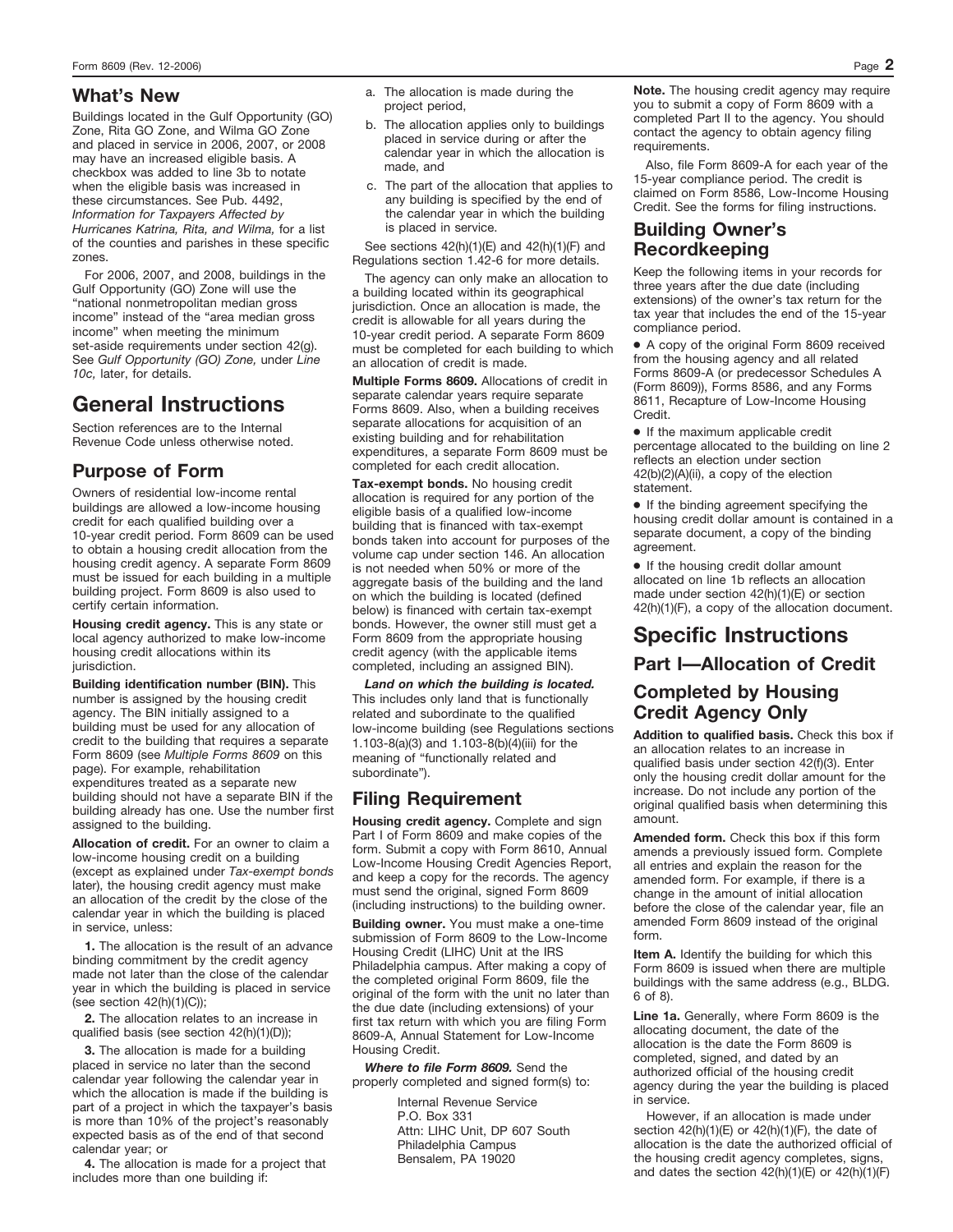Buildings located in the Gulf Opportunity (GO) Zone, Rita GO Zone, and Wilma GO Zone and placed in service in 2006, 2007, or 2008 may have an increased eligible basis. A checkbox was added to line 3b to notate when the eligible basis was increased in these circumstances. See Pub. 4492, *Information for Taxpayers Affected by Hurricanes Katrina, Rita, and Wilma,* for a list of the counties and parishes in these specific zones.

For 2006, 2007, and 2008, buildings in the Gulf Opportunity (GO) Zone will use the "national nonmetropolitan median gross income" instead of the "area median gross income" when meeting the minimum set-aside requirements under section 42(g). See *Gulf Opportunity (GO) Zone,* under *Line 10c,* later, for details.

# **General Instructions**

Section references are to the Internal Revenue Code unless otherwise noted.

# **Purpose of Form**

Owners of residential low-income rental buildings are allowed a low-income housing credit for each qualified building over a 10-year credit period. Form 8609 can be used to obtain a housing credit allocation from the housing credit agency. A separate Form 8609 must be issued for each building in a multiple building project. Form 8609 is also used to certify certain information.

**Housing credit agency.** This is any state or local agency authorized to make low-income housing credit allocations within its jurisdiction.

**Building identification number (BIN).** This number is assigned by the housing credit agency. The BIN initially assigned to a building must be used for any allocation of credit to the building that requires a separate Form 8609 (see *Multiple Forms 8609* on this page). For example, rehabilitation expenditures treated as a separate new building should not have a separate BIN if the building already has one. Use the number first assigned to the building.

**Allocation of credit.** For an owner to claim a low-income housing credit on a building (except as explained under *Tax-exempt bonds*  later), the housing credit agency must make an allocation of the credit by the close of the calendar year in which the building is placed in service, unless:

**1.** The allocation is the result of an advance binding commitment by the credit agency made not later than the close of the calendar year in which the building is placed in service (see section 42(h)(1)(C));

**2.** The allocation relates to an increase in qualified basis (see section 42(h)(1)(D));

**3.** The allocation is made for a building placed in service no later than the second calendar year following the calendar year in which the allocation is made if the building is part of a project in which the taxpayer's basis is more than 10% of the project's reasonably expected basis as of the end of that second calendar year; or

**4.** The allocation is made for a project that includes more than one building if:

- **What's New** a. The allocation is made during the project period,
	- b. The allocation applies only to buildings placed in service during or after the calendar year in which the allocation is made, and
	- c. The part of the allocation that applies to any building is specified by the end of the calendar year in which the building is placed in service.

See sections 42(h)(1)(E) and 42(h)(1)(F) and Regulations section 1.42-6 for more details.

The agency can only make an allocation to a building located within its geographical jurisdiction. Once an allocation is made, the credit is allowable for all years during the 10-year credit period. A separate Form 8609 must be completed for each building to which an allocation of credit is made.

**Multiple Forms 8609.** Allocations of credit in separate calendar years require separate Forms 8609. Also, when a building receives separate allocations for acquisition of an existing building and for rehabilitation expenditures, a separate Form 8609 must be completed for each credit allocation.

**Tax-exempt bonds.** No housing credit allocation is required for any portion of the eligible basis of a qualified low-income building that is financed with tax-exempt bonds taken into account for purposes of the volume cap under section 146. An allocation is not needed when 50% or more of the aggregate basis of the building and the land on which the building is located (defined below) is financed with certain tax-exempt bonds. However, the owner still must get a Form 8609 from the appropriate housing credit agency (with the applicable items completed, including an assigned BIN).

*Land on which the building is located.* This includes only land that is functionally related and subordinate to the qualified low-income building (see Regulations sections 1.103-8(a)(3) and 1.103-8(b)(4)(iii) for the meaning of "functionally related and subordinate").

# **Filing Requirement**

**Housing credit agency.** Complete and sign Part I of Form 8609 and make copies of the form. Submit a copy with Form 8610, Annual Low-Income Housing Credit Agencies Report, and keep a copy for the records. The agency must send the original, signed Form 8609 (including instructions) to the building owner.

**Building owner.** You must make a one-time submission of Form 8609 to the Low-Income Housing Credit (LIHC) Unit at the IRS Philadelphia campus. After making a copy of the completed original Form 8609, file the original of the form with the unit no later than the due date (including extensions) of your first tax return with which you are filing Form 8609-A, Annual Statement for Low-Income Housing Credit.

*Where to file Form 8609.* Send the properly completed and signed form(s) to:

> Internal Revenue Service P.O. Box 331 Attn: LIHC Unit, DP 607 South Philadelphia Campus Bensalem, PA 19020

**Note.** The housing credit agency may require you to submit a copy of Form 8609 with a completed Part II to the agency. You should contact the agency to obtain agency filing requirements.

Also, file Form 8609-A for each year of the 15-year compliance period. The credit is claimed on Form 8586, Low-Income Housing Credit. See the forms for filing instructions.

## **Building Owner's Recordkeeping**

Keep the following items in your records for three years after the due date (including extensions) of the owner's tax return for the tax year that includes the end of the 15-year compliance period.

● A copy of the original Form 8609 received from the housing agency and all related Forms 8609-A (or predecessor Schedules A (Form 8609)), Forms 8586, and any Forms 8611, Recapture of Low-Income Housing Credit.

● If the maximum applicable credit percentage allocated to the building on line 2 reflects an election under section 42(b)(2)(A)(ii), a copy of the election statement.

● If the binding agreement specifying the housing credit dollar amount is contained in a separate document, a copy of the binding agreement.

● If the housing credit dollar amount allocated on line 1b reflects an allocation made under section 42(h)(1)(E) or section 42(h)(1)(F), a copy of the allocation document.

# **Specific Instructions Part I—Allocation of Credit**

# **Completed by Housing Credit Agency Only**

**Addition to qualified basis.** Check this box if an allocation relates to an increase in qualified basis under section 42(f)(3). Enter only the housing credit dollar amount for the increase. Do not include any portion of the original qualified basis when determining this amount.

**Amended form.** Check this box if this form amends a previously issued form. Complete all entries and explain the reason for the amended form. For example, if there is a change in the amount of initial allocation before the close of the calendar year, file an amended Form 8609 instead of the original form.

**Item A.** Identify the building for which this Form 8609 is issued when there are multiple buildings with the same address (e.g., BLDG. 6 of 8).

**Line 1a.** Generally, where Form 8609 is the allocating document, the date of the allocation is the date the Form 8609 is completed, signed, and dated by an authorized official of the housing credit agency during the year the building is placed in service.

However, if an allocation is made under section 42(h)(1)(E) or 42(h)(1)(F), the date of allocation is the date the authorized official of the housing credit agency completes, signs, and dates the section 42(h)(1)(E) or 42(h)(1)(F)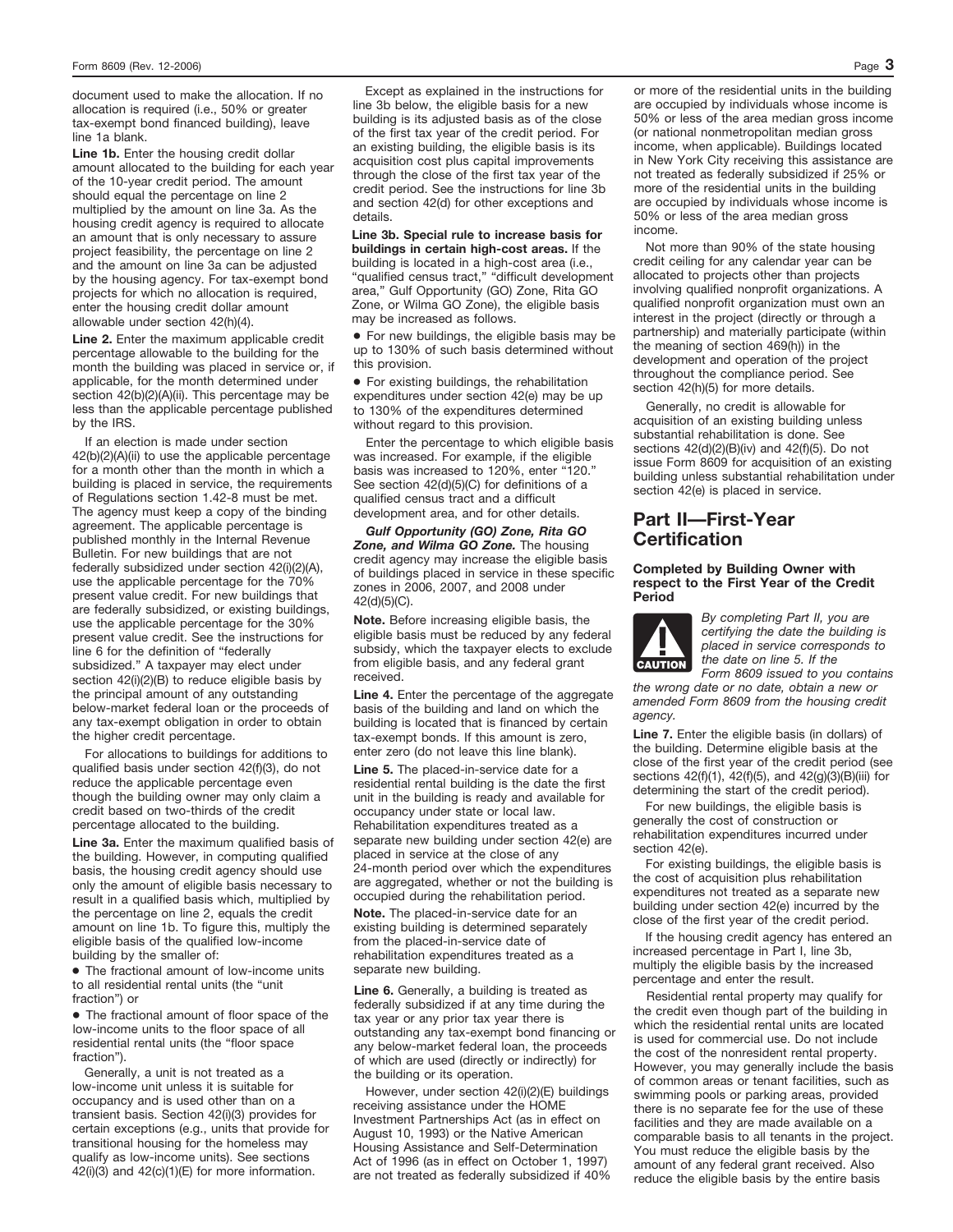document used to make the allocation. If no allocation is required (i.e., 50% or greater tax-exempt bond financed building), leave line 1a blank.

Line 1b. Enter the housing credit dollar amount allocated to the building for each year of the 10-year credit period. The amount should equal the percentage on line 2 multiplied by the amount on line 3a. As the housing credit agency is required to allocate an amount that is only necessary to assure project feasibility, the percentage on line 2 and the amount on line 3a can be adjusted by the housing agency. For tax-exempt bond projects for which no allocation is required, enter the housing credit dollar amount allowable under section 42(h)(4).

**Line 2.** Enter the maximum applicable credit percentage allowable to the building for the month the building was placed in service or, if applicable, for the month determined under section 42(b)(2)(A)(ii). This percentage may be less than the applicable percentage published by the IRS.

If an election is made under section 42(b)(2)(A)(ii) to use the applicable percentage for a month other than the month in which a building is placed in service, the requirements of Regulations section 1.42-8 must be met. The agency must keep a copy of the binding agreement. The applicable percentage is published monthly in the Internal Revenue Bulletin. For new buildings that are not federally subsidized under section 42(i)(2)(A), use the applicable percentage for the 70% present value credit. For new buildings that are federally subsidized, or existing buildings, use the applicable percentage for the 30% present value credit. See the instructions for line 6 for the definition of "federally subsidized." A taxpayer may elect under section 42(i)(2)(B) to reduce eligible basis by the principal amount of any outstanding below-market federal loan or the proceeds of any tax-exempt obligation in order to obtain the higher credit percentage.

For allocations to buildings for additions to qualified basis under section 42(f)(3), do not reduce the applicable percentage even though the building owner may only claim a credit based on two-thirds of the credit percentage allocated to the building.

**Line 3a.** Enter the maximum qualified basis of the building. However, in computing qualified basis, the housing credit agency should use only the amount of eligible basis necessary to result in a qualified basis which, multiplied by the percentage on line 2, equals the credit amount on line 1b. To figure this, multiply the eligible basis of the qualified low-income building by the smaller of:

● The fractional amount of low-income units to all residential rental units (the "unit fraction") or

● The fractional amount of floor space of the low-income units to the floor space of all residential rental units (the "floor space fraction").

Generally, a unit is not treated as a low-income unit unless it is suitable for occupancy and is used other than on a transient basis. Section 42(i)(3) provides for certain exceptions (e.g., units that provide for transitional housing for the homeless may qualify as low-income units). See sections  $42(i)(3)$  and  $42(c)(1)(E)$  for more information.

Except as explained in the instructions for line 3b below, the eligible basis for a new building is its adjusted basis as of the close of the first tax year of the credit period. For an existing building, the eligible basis is its acquisition cost plus capital improvements through the close of the first tax year of the credit period. See the instructions for line 3b and section 42(d) for other exceptions and details.

Line 3b. Special rule to increase basis for **buildings in certain high-cost areas.** If the building is located in a high-cost area (i.e., "qualified census tract," "difficult development area," Gulf Opportunity (GO) Zone, Rita GO Zone, or Wilma GO Zone), the eligible basis may be increased as follows.

● For new buildings, the eligible basis may be up to 130% of such basis determined without this provision.

● For existing buildings, the rehabilitation expenditures under section 42(e) may be up to 130% of the expenditures determined without regard to this provision.

Enter the percentage to which eligible basis was increased. For example, if the eligible basis was increased to 120%, enter "120." See section 42(d)(5)(C) for definitions of a qualified census tract and a difficult development area, and for other details.

*Gulf Opportunity (GO) Zone, Rita GO* **Zone, and Wilma GO Zone.** The housing credit agency may increase the eligible basis of buildings placed in service in these specific zones in 2006, 2007, and 2008 under 42(d)(5)(C).

**Note.** Before increasing eligible basis, the eligible basis must be reduced by any federal subsidy, which the taxpayer elects to exclude from eligible basis, and any federal grant received.

**Line 4.** Enter the percentage of the aggregate basis of the building and land on which the building is located that is financed by certain tax-exempt bonds. If this amount is zero, enter zero (do not leave this line blank).

**Line 5.** The placed-in-service date for a residential rental building is the date the first unit in the building is ready and available for occupancy under state or local law. Rehabilitation expenditures treated as a separate new building under section 42(e) are placed in service at the close of any 24-month period over which the expenditures are aggregated, whether or not the building is occupied during the rehabilitation period.

**Note.** The placed-in-service date for an existing building is determined separately from the placed-in-service date of rehabilitation expenditures treated as a separate new building.

**Line 6.** Generally, a building is treated as federally subsidized if at any time during the tax year or any prior tax year there is outstanding any tax-exempt bond financing or any below-market federal loan, the proceeds of which are used (directly or indirectly) for the building or its operation.

However, under section 42(i)(2)(E) buildings receiving assistance under the HOME Investment Partnerships Act (as in effect on August 10, 1993) or the Native American Housing Assistance and Self-Determination Act of 1996 (as in effect on October 1, 1997) are not treated as federally subsidized if 40% or more of the residential units in the building are occupied by individuals whose income is 50% or less of the area median gross income (or national nonmetropolitan median gross income, when applicable). Buildings located in New York City receiving this assistance are not treated as federally subsidized if 25% or more of the residential units in the building are occupied by individuals whose income is 50% or less of the area median gross

Not more than 90% of the state housing credit ceiling for any calendar year can be allocated to projects other than projects involving qualified nonprofit organizations. A qualified nonprofit organization must own an interest in the project (directly or through a partnership) and materially participate (within the meaning of section 469(h)) in the development and operation of the project throughout the compliance period. See section 42(h)(5) for more details.

Generally, no credit is allowable for acquisition of an existing building unless substantial rehabilitation is done. See sections 42(d)(2)(B)(iv) and 42(f)(5). Do not issue Form 8609 for acquisition of an existing building unless substantial rehabilitation under section 42(e) is placed in service.

# **Part II—First-Year Certification**

### **Completed by Building Owner with respect to the First Year of the Credit Period**



*By completing Part II, you are certifying the date the building is placed in service corresponds to the date on line 5. If the*

*Form 8609 issued to you contains the wrong date or no date, obtain a new or amended Form 8609 from the housing credit agency.*

Line 7. Enter the eligible basis (in dollars) of the building. Determine eligible basis at the close of the first year of the credit period (see sections 42(f)(1), 42(f)(5), and 42(g)(3)(B)(iii) for determining the start of the credit period).

For new buildings, the eligible basis is generally the cost of construction or rehabilitation expenditures incurred under section 42(e).

For existing buildings, the eligible basis is the cost of acquisition plus rehabilitation expenditures not treated as a separate new building under section 42(e) incurred by the close of the first year of the credit period.

If the housing credit agency has entered an increased percentage in Part I, line 3b, multiply the eligible basis by the increased percentage and enter the result.

Residential rental property may qualify for the credit even though part of the building in which the residential rental units are located is used for commercial use. Do not include the cost of the nonresident rental property. However, you may generally include the basis of common areas or tenant facilities, such as swimming pools or parking areas, provided there is no separate fee for the use of these facilities and they are made available on a comparable basis to all tenants in the project. You must reduce the eligible basis by the amount of any federal grant received. Also reduce the eligible basis by the entire basis